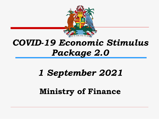

# *COVID-19 Economic Stimulus Package 2.0*

# *1 September 2021*

## **Ministry of Finance**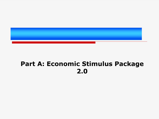

## **Part A: Economic Stimulus Package 2.0**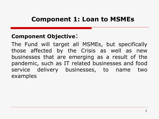### **Component 1: Loan to MSMEs**

#### **Component Objective**:

The Fund will target all MSMEs, but specifically those affected by the Crisis as well as new businesses that are emerging as a result of the pandemic, such as IT related businesses and food service delivery businesses, to name two examples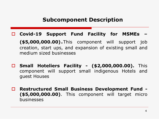#### **Subcomponent Description**

**Covid-19 Support Fund Facility for MSMEs –**

**(\$5,000,000.00)**.This component will support job creation, start ups, and expansion of existing small and medium sized businesses

- **Small Hoteliers Facility - (\$2,000,000.00).** This component will support small indigenous Hotels and guest Houses
- **Restructured Small Business Development Fund - (\$5,000,000.00)**. This component will target micro businesses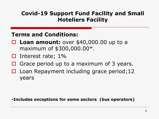#### **Covid-19 Support Fund Facility and Small Hoteliers Facility**

#### **Terms and Conditions:**

- **Loan amount:** over \$40,000.00 up to a maximum of \$300,000.00\*.
- $\Box$  Interest rate; 1%
- $\Box$  Grace period up to a maximum of 3 years.
- $\Box$  Loan Repayment including grace period; 12 years

#### **\*Includes exceptions for some sectors (bus operators)**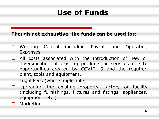# **Use of Funds**

#### **Though not exhaustive, the funds can be used for:**

- □ Working Capital including Payroll and Operating Expenses.
- □ All costs associated with the introduction of new or diversification of existing products or services due to opportunities created by COVID-19 and the required plant, tools and equipment.
- $\Box$  Legal Fees (where applicable)
- $\Box$  Upgrading the existing property, factory or facility (including furnishings, fixtures and fittings, appliances, equipment, etc.)
- $\square$  Marketing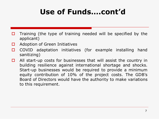# **Use of Funds….cont'd**

- $\Box$  Training (the type of training needed will be specified by the applicant)
- $\Box$  Adoption of Green Initiatives
- □ COVID adaptation initiatives (for example installing hand sanitizing)
- $\Box$  All start-up costs for businesses that will assist the country in building resilience against international shortage and shocks. Start-up businesses would be required to provide a minimum equity contribution of 10% of the project costs. The GDB's Board of Directors would have the authority to make variations to this requirement.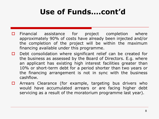# **Use of Funds….cont'd**

- $\Box$  Financial assistance for project completion where approximately 90% of costs have already been injected and/or the completion of the project will be within the maximum financing available under this programme.
- $\Box$  Debt consolidation where significant relief can be created for the business as assessed by the Board of Directors. E.g. where an applicant has existing high interest facilities greater than 10% or short-term debt for a period shorter than two years or the financing arrangement is not in sync with the business cashflow.
- $\Box$  Arrears Clearance (for example, targeting bus drivers who would have accumulated arrears or are facing higher debt servicing as a result of the moratorium programme last year).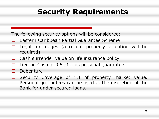# **Security Requirements**

The following security options will be considered:

- **□** Eastern Caribbean Partial Guarantee Scheme
- $\Box$  Legal mortgages (a recent property valuation will be required)
- $\Box$  Cash surrender value on life insurance policy
- $\Box$  Lien on Cash of 0.5 :1 plus personal guarantee
- $\Box$  Debenture
- $\Box$  Security Coverage of 1.1 of property market value. Personal guarantees can be used at the discretion of the Bank for under secured loans.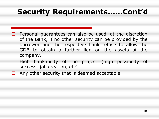# **Security Requirements……Cont'd**

- $\Box$  Personal guarantees can also be used, at the discretion of the Bank, if no other security can be provided by the borrower and the respective bank refuse to allow the GDB to obtain a further lien on the assets of the company.
- $\Box$  High bankability of the project (high possibility of success, job creation, etc)
- $\Box$  Any other security that is deemed acceptable.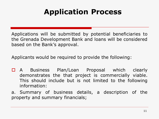# **Application Process**

Applications will be submitted by potential beneficiaries to the Grenada Development Bank and loans will be considered based on the Bank's approval.

Applicants would be required to provide the following:

- □ A Business Plan/Loan Proposal which clearly demonstrates the that project is commercially viable. This should include but is not limited to the following information:
- a. Summary of business details, a description of the property and summary financials;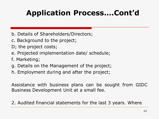## **Application Process….Cont'd**

- b. Details of Shareholders/Directors;
- c. Background to the project;
- D; the project costs;
- e. Projected implementation date/ schedule;
- f. Marketing;
- g. Details on the Management of the project;
- h. Employment during and after the project;

Assistance with business plans can be sought from GIDC Business Development Unit at a small fee.

2. Audited financial statements for the last 3 years. Where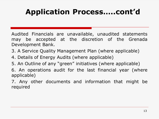# **Application Process…..cont'd**

Audited Financials are unavailable, unaudited statements may be accepted at the discretion of the Grenada Development Bank.

- 3. A Service Quality Management Plan (where applicable)
- 4. Details of Energy Audits (where applicable)
- 5. An Outline of any "green" initiatives (where applicable)
- 6. An operations audit for the last financial year (where applicable)

7. Any other documents and information that might be required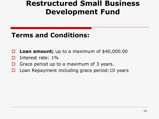## **Restructured Small Business Development Fund**

## **Terms and Conditions:**

- **Loan amount;** up to a maximum of \$40,000.00
- Interest rate: 1%
- $\Box$  Grace period up to a maximum of 3 years.
- $\Box$  Loan Repayment including grace period: 10 years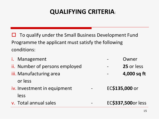## **QUALIFYING CRITERIA**:

 $\Box$  To qualify under the Small Business Development Fund Programme the applicant must satisfy the following conditions:

| i. Management                  |                | Owner              |
|--------------------------------|----------------|--------------------|
| ii. Number of persons employed |                | 25 or less         |
| iii. Manufacturing area        |                | 4,000 sq ft        |
| or less                        |                |                    |
| iv. Investment in equipment    | EC\$135,000 or |                    |
| less                           |                |                    |
| v. Total annual sales<br>-     |                | EC\$337,500or less |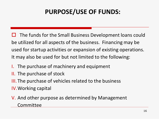## **PURPOSE/USE OF FUNDS:**

 $\Box$  The funds for the Small Business Development loans could be utilized for all aspects of the business. Financing may be used for startup activities or expansion of existing operations. It may also be used for but not limited to the following:

- I. The purchase of machinery and equipment
- II. The purchase of stock
- III. The purchase of vehicles related to the business
- IV.Working capital

V. And other purpose as determined by Management Committee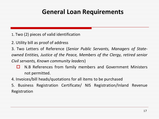### **General Loan Requirements**

- 1. Two (2) pieces of valid identification
- 2. Utility bill as proof of address

3. Two Letters of Reference (*Senior Public Servants, Managers of State-*

*owned Entities, Justice of the Peace, Members of the Clergy, retired senior*

*Civil servants, Known community leaders*)

- $\Box$  N.B References from family members and Government Ministers not permitted.
- 4. Invoices/bill heads/quotations for all items to be purchased
- 5. Business Registration Certificate/ NIS Registration/Inland Revenue Registration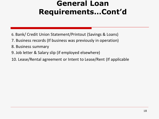## **General Loan Requirements…Cont'd**

- 6. Bank/ Credit Union Statement/Printout (Savings & Loans)
- 7. Business records (If business was previously in operation)
- 8. Business summary
- 9. Job letter & Salary slip (if employed elsewhere)
- 10. Lease/Rental agreement or Intent to Lease/Rent (If applicable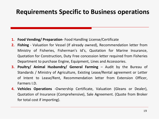### **Requirements Specific to Business operations**

- **1. Food Vending/ Preparation** Food Handling License/Certificate
- **2. Fishing** Valuation for Vessel (If already owned), Recommendation letter from Ministry of Fisheries, Fisherman's Id's, Quotation for Marine Insurance, Quotation for Construction, Duty Free concession letter required from Fisheries Department to purchase Engine, Equipment, Lines and Accessories.
- **3. Poultry/ Animal Husbandry/ General Farming** Audit by the Bureau of Standards / Ministry of Agriculture, Existing Lease/Rental agreement or Letter of Intent to Lease/Rent, Recommendation letter from Extension Officer, Farmers I.D.
- **4. Vehicles Operations** -Ownership Certificate, Valuation (Gleans or Dealer), Quotation of Insurance (Comprehensive), Sale Agreement. (Quote from Broker for total cost if importing).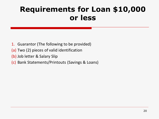# **Requirements for Loan \$10,000 or less**

- 1. Guarantor (The following to be provided)
- (a) Two (2) pieces of valid identification
- (b) Job letter & Salary Slip
- (c) Bank Statements/Printouts (Savings & Loans)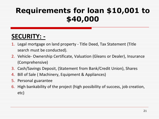# **Requirements for loan \$10,001 to \$40,000**

## **SECURITY: -**

- 1. Legal mortgage on land property Title Deed, Tax Statement (Title search must be conducted).
- 2. Vehicle- Ownership Certificate, Valuation (Gleans or Dealer), Insurance (Comprehensive)
- 3. Cash/Savings Deposit, (Statement from Bank/Credit Union), Shares
- 4. Bill of Sale ( Machinery, Equipment & Appliances)
- 5. Personal guarantee
- 6. High bankability of the project (high possibility of success, job creation, etc)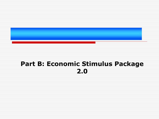

## **Part B: Economic Stimulus Package 2.0**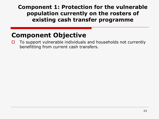#### **Component 1: Protection for the vulnerable population currently on the rosters of existing cash transfer programme**

## **Component Objective**

 $\Box$  To support vulnerable individuals and households not currently benefitting from current cash transfers.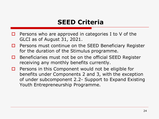## **SEED Criteria**

- $\Box$  Persons who are approved in categories I to V of the GLCI as of August 31, 2021.
- $\Box$  Persons must continue on the SEED Beneficiary Register for the duration of the Stimulus programme.
- $\Box$  Beneficiaries must not be on the official SEED Register receiving any monthly benefits currently.
- $\Box$  Persons in this Component would not be eligible for benefits under Components 2 and 3, with the exception of under subcomponent 2.2- Support to Expand Existing Youth Entrepreneurship Programme.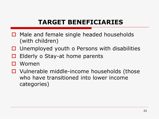## **TARGET BENEFICIARIES**

- □ Male and female single headed households (with children)
- $\Box$  Unemployed youth o Persons with disabilities
- $\Box$  Elderly o Stay-at home parents
- □ Women
- $\Box$  Vulnerable middle-income households (those who have transitioned into lower income categories)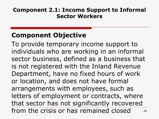#### **Component 2.1: Income Support to Informal Sector Workers**

## **Component Objective**

26 To provide temporary income support to individuals who are working in an informal sector business, defined as a business that is not registered with the Inland Revenue Department, have no fixed hours of work or location, and does not have formal arrangements with employees, such as letters of employment or contracts, where that sector has not significantly recovered from the crisis or has remained closed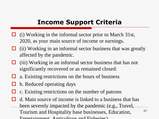### **Income Support Criteria**

- (i) Working in the informal sector prior to March 31st, 2020, as your main source of income or earnings.
- $\Box$  (ii) Working in an informal sector business that was greatly affected by the pandemic.
- $\Box$  (iii) Working in an informal sector business that has not significantly recovered or as remained closed:
- $\Box$  a. Existing restrictions on the hours of business
- b. Reduced operating days
	- c. Existing restrictions on the number of patrons
- d. Main source of income is linked to a business that has been severely impacted by the pandemic (e.g., Travel, Tourism and Hospitality base businesses, Education, Entertainment, Agriculture and Fisheries).

27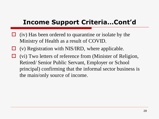## **Income Support Criteria…Cont'd**

- $\Box$  (iv) Has been ordered to quarantine or isolate by the Ministry of Health as a result of COVID.
- $\Box$  (v) Registration with NIS/IRD, where applicable.
- $\Box$  (vi) Two letters of reference from (Minister of Religion, Retired/ Senior Public Servant, Employer or School principal) confirming that the informal sector business is the main/only source of income.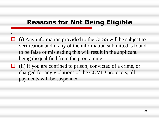## **Reasons for Not Being Eligible**

:

- $\Box$  (i) Any information provided to the CESS will be subject to verification and if any of the information submitted is found to be false or misleading this will result in the applicant being disqualified from the programme.
- $\Box$  (ii) If you are confined to prison, convicted of a crime, or charged for any violations of the COVID protocols, all payments will be suspended.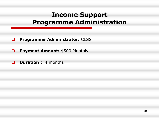## **Income Support Programme Administration**

- **Programme Administrator:** CESS
- **Payment Amount:** \$500 Monthly
- **Duration :** 4 months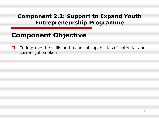#### **Component 2.2: Support to Expand Youth Entrepreneurship Programme**

## **Component Objective**

 $\Box$  To improve the skills and technical capabilities of potential and current job seekers.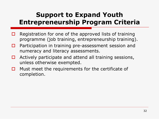## **Support to Expand Youth Entrepreneurship Program Criteria**

- $\Box$  Registration for one of the approved lists of training programme (job training, entrepreneurship training).
- □ Participation in training pre-assessment session and numeracy and literacy assessments.
- $\Box$  Actively participate and attend all training sessions, unless otherwise exempted.
- $\Box$  Must meet the requirements for the certificate of completion.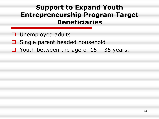## **Support to Expand Youth Entrepreneurship Program Target Beneficiaries**

- $\Box$  Unemployed adults
- $\Box$  Single parent headed household
- $\Box$  Youth between the age of 15 35 years.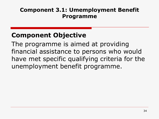#### **Component 3.1: Umemployment Benefit Programme**

## **Component Objective**

The programme is aimed at providing financial assistance to persons who would have met specific qualifying criteria for the unemployment benefit programme.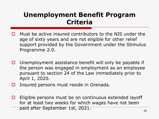### **Unemployment Benefit Program Criteria**

- Must be active insured contributors to the NIS under the age of sixty years and are not eligible for other relief support provided by the Government under the Stimulus Programme 2.0.
- $\Box$  Unemployment assistance benefit will only be payable if the person was engaged in employment as an employee pursuant to section 24 of the Law immediately prior to April 1, 2020.
- $\Box$  Insured persons must reside in Grenada.
- $\Box$  Eligible persons must be on continuous extended layoff for at least two weeks for which wages have not been paid after September 1st, 2021.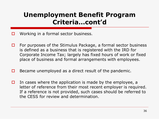## **Unemployment Benefit Program Criteria…cont'd**

- $\Box$  Working in a formal sector business.
- $\Box$  For purposes of the Stimulus Package, a formal sector business is defined as a business that is registered with the IRD for Corporate Income Tax; largely has fixed hours of work or fixed place of business and formal arrangements with employees.
- $\Box$  Became unemployed as a direct result of the pandemic.
- $\Box$  In cases where the application is made by the employee, a letter of reference from their most recent employer is required. If a reference is not provided, such cases should be referred to the CESS for review and determination.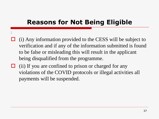## **Reasons for Not Being Eligible**

:

- $\Box$  (i) Any information provided to the CESS will be subject to verification and if any of the information submitted is found to be false or misleading this will result in the applicant being disqualified from the programme.
- $\Box$  (ii) If you are confined to prison or charged for any violations of the COVID protocols or illegal activities all payments will be suspended.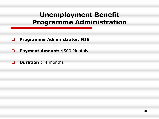## **Unemployment Benefit Programme Administration**

- **Programme Administrator: NIS**
- **Payment Amount:** \$500 Monthly
- **D Duration :** 4 months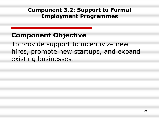#### **Component 3.2: Support to Formal Employment Programmes**

## **Component Objective**

To provide support to incentivize new hires, promote new startups, and expand existing businesses..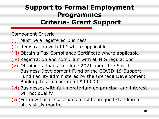## **Support to Formal Employment Programmes Criteria- Grant Support**

Component Criteria

(i) Must be a registered business

(ii) Registration with IRD where applicable

(iii) Obtain a Tax Compliance Certificate where applicable

(iv) Registration and compliant with all NIS regulations

(v) Obtained a loan after June 2021 under the Small Business Development Fund or the COVID-19 Support Fund Facility administered by the Grenada Development Bank up to a maximum of \$40,000.

(vi) Businesses with full moratorium on principal and interest will not qualify

(vii)For new businesses loans must be in good standing for at least six months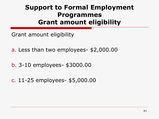## **Support to Formal Employment Programmes Grant amount eligibility**

- Grant amount eligibility
- a. Less than two employees- \$2,000.00
- b. 3-10 employees- \$3000.00
- c. 11-25 employees- \$5,000.00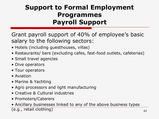## **Support to Formal Employment Programmes Payroll Support**

Grant payroll support of 40% of employee's basic salary to the following sectors:

- Hotels (including guesthouses, villas)
- Restaurants/ bars (excluding cafes, fast-food outlets, cafeterias)
- Small travel agencies
- Dive operators
- Tour operators
- Aviation
- Marine & Yachting
- Agro processors and light manufacturing
- Creative & Cultural industries
- Promoters/Caterers

• Ancillary businesses linked to any of the above business types (e.g., retail clothing)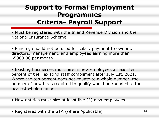## **Support to Formal Employment Programmes Criteria- Payroll Support**

• Must be registered with the Inland Revenue Division and the National Insurance Scheme.

• Funding should not be used for salary payment to owners, directors, management, and employees earning more than \$5000.00 per month.

• Existing businesses must hire in new employees at least ten percent of their existing staff compliment after July 1st, 2021. Where the ten percent does not equate to a whole number, the number of new hires required to qualify would be rounded to the nearest whole number.

- New entities must hire at least five (5) new employees.
- Registered with the GTA (where Applicable)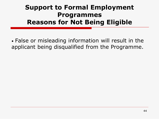## **Support to Formal Employment Programmes Reasons for Not Being Eligible**

• False or misleading information will result in the applicant being disqualified from the Programme.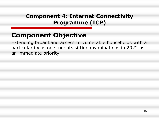#### **Component 4: Internet Connectivity Programme (ICP)**

## **Component Objective**

Extending broadband access to vulnerable households with a particular focus on students sitting examinations in 2022 as an immediate priority.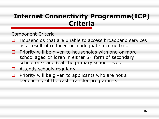## **Internet Connectivity Programme(ICP) Criteria**

Component Criteria

- $\Box$  Households that are unable to access broadband services as a result of reduced or inadequate income base.
- $\Box$  Priority will be given to households with one or more school aged children in either 5<sup>th</sup> form of secondary school or Grade 6 at the primary school level.
- $\Box$  Attends schools regularly
- $\Box$  Priority will be given to applicants who are not a beneficiary of the cash transfer programme.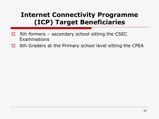## **Internet Connectivity Programme (ICP) Target Beneficiaries**

- $\Box$  5th formers secondary school sitting the CSEC Examinations
- $\Box$  6th Graders at the Primary school level sitting the CPEA